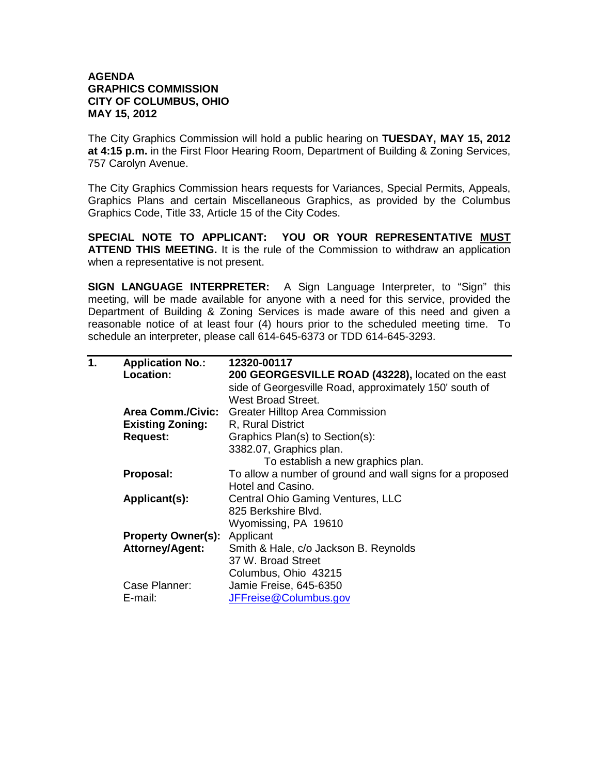## **AGENDA GRAPHICS COMMISSION CITY OF COLUMBUS, OHIO MAY 15, 2012**

The City Graphics Commission will hold a public hearing on **TUESDAY, MAY 15, 2012 at 4:15 p.m.** in the First Floor Hearing Room, Department of Building & Zoning Services, 757 Carolyn Avenue.

The City Graphics Commission hears requests for Variances, Special Permits, Appeals, Graphics Plans and certain Miscellaneous Graphics, as provided by the Columbus Graphics Code, Title 33, Article 15 of the City Codes.

**SPECIAL NOTE TO APPLICANT: YOU OR YOUR REPRESENTATIVE MUST ATTEND THIS MEETING.** It is the rule of the Commission to withdraw an application when a representative is not present.

**SIGN LANGUAGE INTERPRETER:** A Sign Language Interpreter, to "Sign" this meeting, will be made available for anyone with a need for this service, provided the Department of Building & Zoning Services is made aware of this need and given a reasonable notice of at least four (4) hours prior to the scheduled meeting time. To schedule an interpreter, please call 614-645-6373 or TDD 614-645-3293.

| <b>Location:</b><br>side of Georgesville Road, approximately 150' south of<br><b>West Broad Street.</b><br>Area Comm./Civic:<br><b>Greater Hilltop Area Commission</b><br><b>Existing Zoning:</b><br>R, Rural District<br>Graphics Plan(s) to Section(s):<br><b>Request:</b><br>3382.07, Graphics plan.<br>To establish a new graphics plan.<br>Proposal:<br>Hotel and Casino.<br><b>Central Ohio Gaming Ventures, LLC</b><br>Applicant(s):<br>825 Berkshire Blvd.<br>Wyomissing, PA 19610<br><b>Property Owner(s): Applicant</b><br><b>Attorney/Agent:</b><br>Smith & Hale, c/o Jackson B. Reynolds<br>37 W. Broad Street<br>Columbus, Ohio 43215 | 1. | <b>Application No.:</b> | 12320-00117                                               |
|----------------------------------------------------------------------------------------------------------------------------------------------------------------------------------------------------------------------------------------------------------------------------------------------------------------------------------------------------------------------------------------------------------------------------------------------------------------------------------------------------------------------------------------------------------------------------------------------------------------------------------------------------|----|-------------------------|-----------------------------------------------------------|
|                                                                                                                                                                                                                                                                                                                                                                                                                                                                                                                                                                                                                                                    |    |                         | 200 GEORGESVILLE ROAD (43228), located on the east        |
|                                                                                                                                                                                                                                                                                                                                                                                                                                                                                                                                                                                                                                                    |    |                         |                                                           |
|                                                                                                                                                                                                                                                                                                                                                                                                                                                                                                                                                                                                                                                    |    |                         |                                                           |
|                                                                                                                                                                                                                                                                                                                                                                                                                                                                                                                                                                                                                                                    |    |                         |                                                           |
|                                                                                                                                                                                                                                                                                                                                                                                                                                                                                                                                                                                                                                                    |    |                         |                                                           |
|                                                                                                                                                                                                                                                                                                                                                                                                                                                                                                                                                                                                                                                    |    |                         |                                                           |
|                                                                                                                                                                                                                                                                                                                                                                                                                                                                                                                                                                                                                                                    |    |                         |                                                           |
|                                                                                                                                                                                                                                                                                                                                                                                                                                                                                                                                                                                                                                                    |    |                         |                                                           |
|                                                                                                                                                                                                                                                                                                                                                                                                                                                                                                                                                                                                                                                    |    |                         | To allow a number of ground and wall signs for a proposed |
|                                                                                                                                                                                                                                                                                                                                                                                                                                                                                                                                                                                                                                                    |    |                         |                                                           |
|                                                                                                                                                                                                                                                                                                                                                                                                                                                                                                                                                                                                                                                    |    |                         |                                                           |
|                                                                                                                                                                                                                                                                                                                                                                                                                                                                                                                                                                                                                                                    |    |                         |                                                           |
|                                                                                                                                                                                                                                                                                                                                                                                                                                                                                                                                                                                                                                                    |    |                         |                                                           |
|                                                                                                                                                                                                                                                                                                                                                                                                                                                                                                                                                                                                                                                    |    |                         |                                                           |
|                                                                                                                                                                                                                                                                                                                                                                                                                                                                                                                                                                                                                                                    |    |                         |                                                           |
|                                                                                                                                                                                                                                                                                                                                                                                                                                                                                                                                                                                                                                                    |    |                         |                                                           |
|                                                                                                                                                                                                                                                                                                                                                                                                                                                                                                                                                                                                                                                    |    |                         |                                                           |
|                                                                                                                                                                                                                                                                                                                                                                                                                                                                                                                                                                                                                                                    |    | Case Planner:           | Jamie Freise, 645-6350                                    |
| E-mail:<br>JFFreise@Columbus.gov                                                                                                                                                                                                                                                                                                                                                                                                                                                                                                                                                                                                                   |    |                         |                                                           |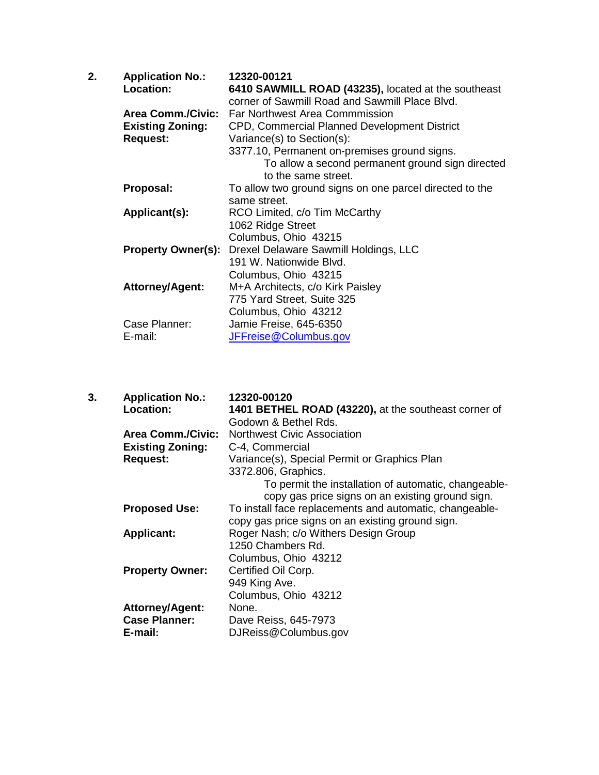| 2. | <b>Application No.:</b> | 12320-00121                                                     |
|----|-------------------------|-----------------------------------------------------------------|
|    | Location:               | 6410 SAWMILL ROAD (43235), located at the southeast             |
|    |                         | corner of Sawmill Road and Sawmill Place Blvd.                  |
|    | Area Comm./Civic:       | Far Northwest Area Commmission                                  |
|    | <b>Existing Zoning:</b> | CPD, Commercial Planned Development District                    |
|    | <b>Request:</b>         | Variance(s) to Section(s):                                      |
|    |                         | 3377.10, Permanent on-premises ground signs.                    |
|    |                         | To allow a second permanent ground sign directed                |
|    |                         | to the same street.                                             |
|    | Proposal:               | To allow two ground signs on one parcel directed to the         |
|    |                         | same street.                                                    |
|    | Applicant(s):           | RCO Limited, c/o Tim McCarthy                                   |
|    |                         | 1062 Ridge Street                                               |
|    |                         | Columbus, Ohio 43215                                            |
|    |                         | <b>Property Owner(s):</b> Drexel Delaware Sawmill Holdings, LLC |
|    |                         | 191 W. Nationwide Blvd.                                         |
|    |                         | Columbus, Ohio 43215                                            |
|    | <b>Attorney/Agent:</b>  | M+A Architects, c/o Kirk Paisley                                |
|    |                         | 775 Yard Street, Suite 325                                      |
|    |                         | Columbus, Ohio 43212                                            |
|    | Case Planner:           | Jamie Freise, 645-6350                                          |
|    | E-mail:                 | JFFreise@Columbus.gov                                           |
|    |                         |                                                                 |

| 3. | <b>Application No.:</b><br><b>Location:</b> | 12320-00120<br>1401 BETHEL ROAD (43220), at the southeast corner of<br>Godown & Bethel Rds. |
|----|---------------------------------------------|---------------------------------------------------------------------------------------------|
|    | <b>Area Comm./Civic:</b>                    | <b>Northwest Civic Association</b>                                                          |
|    | <b>Existing Zoning:</b>                     | C-4, Commercial                                                                             |
|    | <b>Request:</b>                             | Variance(s), Special Permit or Graphics Plan                                                |
|    |                                             | 3372.806, Graphics.                                                                         |
|    |                                             | To permit the installation of automatic, changeable-                                        |
|    |                                             | copy gas price signs on an existing ground sign.                                            |
|    | <b>Proposed Use:</b>                        | To install face replacements and automatic, changeable-                                     |
|    |                                             | copy gas price signs on an existing ground sign.                                            |
|    | <b>Applicant:</b>                           | Roger Nash; c/o Withers Design Group                                                        |
|    |                                             | 1250 Chambers Rd.                                                                           |
|    |                                             | Columbus, Ohio 43212                                                                        |
|    | <b>Property Owner:</b>                      | Certified Oil Corp.                                                                         |
|    |                                             | 949 King Ave.                                                                               |
|    |                                             | Columbus, Ohio 43212                                                                        |
|    | <b>Attorney/Agent:</b>                      | None.                                                                                       |
|    | <b>Case Planner:</b>                        | Dave Reiss, 645-7973                                                                        |
|    | E-mail:                                     | DJReiss@Columbus.gov                                                                        |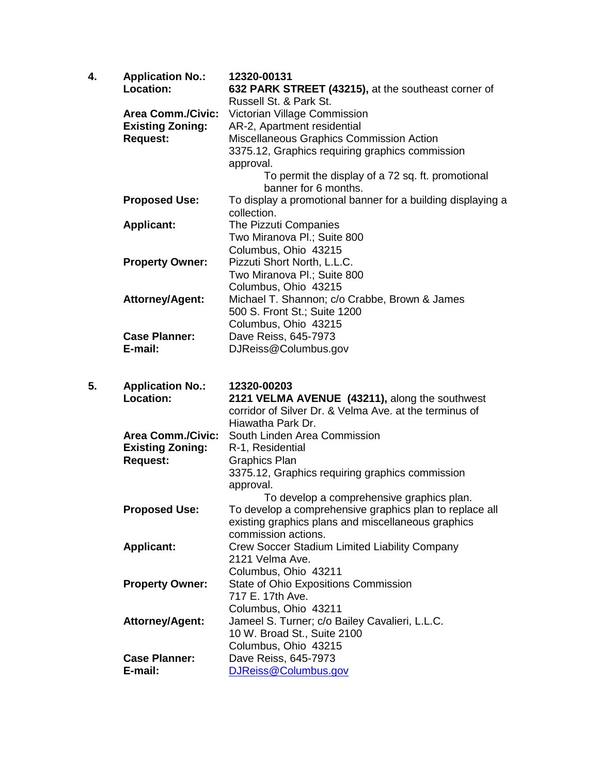| 4. | <b>Application No.:</b><br>Location: | 12320-00131<br>632 PARK STREET (43215), at the southeast corner of          |
|----|--------------------------------------|-----------------------------------------------------------------------------|
|    |                                      | Russell St. & Park St.                                                      |
|    | <b>Area Comm./Civic:</b>             | Victorian Village Commission                                                |
|    | <b>Existing Zoning:</b>              | AR-2, Apartment residential                                                 |
|    | <b>Request:</b>                      | Miscellaneous Graphics Commission Action                                    |
|    |                                      | 3375.12, Graphics requiring graphics commission                             |
|    |                                      | approval.                                                                   |
|    |                                      | To permit the display of a 72 sq. ft. promotional<br>banner for 6 months.   |
|    | <b>Proposed Use:</b>                 | To display a promotional banner for a building displaying a<br>collection.  |
|    | <b>Applicant:</b>                    | The Pizzuti Companies                                                       |
|    |                                      | Two Miranova Pl.; Suite 800                                                 |
|    |                                      | Columbus, Ohio 43215                                                        |
|    | <b>Property Owner:</b>               | Pizzuti Short North, L.L.C.                                                 |
|    |                                      | Two Miranova Pl.; Suite 800                                                 |
|    |                                      | Columbus, Ohio 43215                                                        |
|    | <b>Attorney/Agent:</b>               | Michael T. Shannon; c/o Crabbe, Brown & James                               |
|    |                                      | 500 S. Front St.; Suite 1200                                                |
|    | <b>Case Planner:</b>                 | Columbus, Ohio 43215                                                        |
|    | E-mail:                              | Dave Reiss, 645-7973<br>DJReiss@Columbus.gov                                |
|    |                                      |                                                                             |
|    |                                      |                                                                             |
|    |                                      |                                                                             |
| 5. | <b>Application No.:</b>              | 12320-00203                                                                 |
|    | Location:                            | 2121 VELMA AVENUE (43211), along the southwest                              |
|    |                                      | corridor of Silver Dr. & Velma Ave. at the terminus of<br>Hiawatha Park Dr. |
|    | <b>Area Comm./Civic:</b>             | South Linden Area Commission                                                |
|    | <b>Existing Zoning:</b>              | R-1, Residential                                                            |
|    | <b>Request:</b>                      | <b>Graphics Plan</b>                                                        |
|    |                                      | 3375.12, Graphics requiring graphics commission                             |
|    |                                      | approval.                                                                   |
|    |                                      | To develop a comprehensive graphics plan.                                   |
|    | <b>Proposed Use:</b>                 | To develop a comprehensive graphics plan to replace all                     |
|    |                                      | existing graphics plans and miscellaneous graphics                          |
|    |                                      | commission actions.                                                         |
|    | <b>Applicant:</b>                    | Crew Soccer Stadium Limited Liability Company                               |
|    |                                      | 2121 Velma Ave.                                                             |
|    |                                      | Columbus, Ohio 43211                                                        |
|    | <b>Property Owner:</b>               | State of Ohio Expositions Commission                                        |
|    |                                      | 717 E. 17th Ave.                                                            |
|    |                                      | Columbus, Ohio 43211                                                        |
|    | <b>Attorney/Agent:</b>               | Jameel S. Turner; c/o Bailey Cavalieri, L.L.C.                              |
|    |                                      | 10 W. Broad St., Suite 2100<br>Columbus, Ohio 43215                         |
|    | <b>Case Planner:</b>                 | Dave Reiss, 645-7973                                                        |